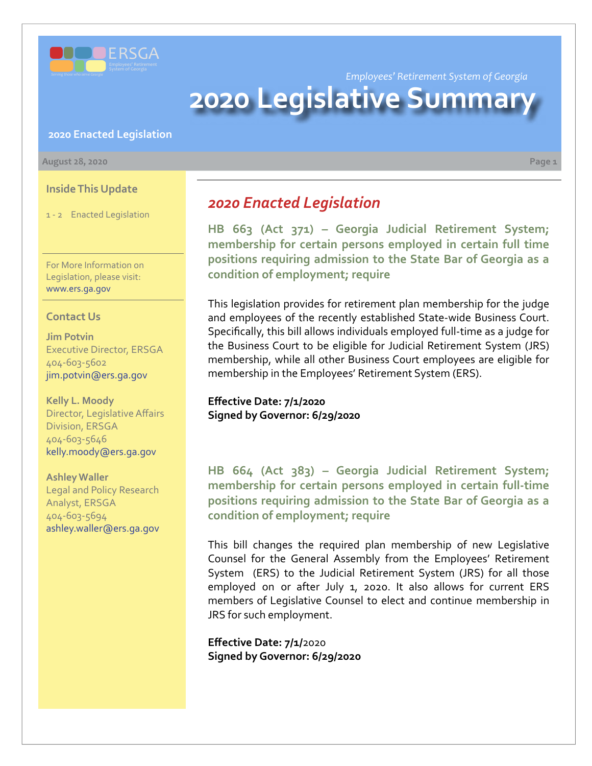

*Employees' Retirement System of Georgia*

# **2020 Legislative Summar**

### **2020 Enacted Legislation**

#### **August 28, 2020 Page 1**

**Inside This Update**

1 - 2 Enacted Legislation

For More Information on Legislation, please visit: www.ers.ga.gov

### **Contact Us**

**Jim Potvin** Executive Director, ERSGA 404-603-5602 jim.potvin@ers.ga.gov

**Kelly L. Moody** Director, Legislative Affairs Division, ERSGA 404-603-5646 kelly.moody@ers.ga.gov

**Ashley Waller** Legal and Policy Research

Analyst, ERSGA 404-603-5694 ashley.waller@ers.ga.gov

# *2020 Enacted Legislation*

**[HB 663 \(Act 371\) – Georgia Judicial Retirement System;](http://www.legis.ga.gov/Legislation/en-US/display/20192020/HB/663)  membership for certain persons employed in certain full time positions requiring admission to the State Bar of Georgia as a condition of employment; require**

This legislation provides for retirement plan membership for the judge and employees of the recently established State-wide Business Court. Specifically, this bill allows individuals employed full-time as a judge for the Business Court to be eligible for Judicial Retirement System (JRS) membership, while all other Business Court employees are eligible for membership in the Employees' Retirement System (ERS).

**Effective Date: 7/1/2020 Signed by Governor: 6/29/2020**

**[HB 664 \(Act 383\) – Georgia Judicial Retirement System;](http://www.legis.ga.gov/Legislation/en-US/display/20192020/HB/664)  membership for certain persons employed in certain full-time positions requiring admission to the State Bar of Georgia as a condition of employment; require**

This bill changes the required plan membership of new Legislative Counsel for the General Assembly from the Employees' Retirement System (ERS) to the Judicial Retirement System (JRS) for all those employed on or after July 1, 2020. It also allows for current ERS members of Legislative Counsel to elect and continue membership in JRS for such employment.

**Effective Date: 7/1/**2020 **Signed by Governor: 6/29/2020**